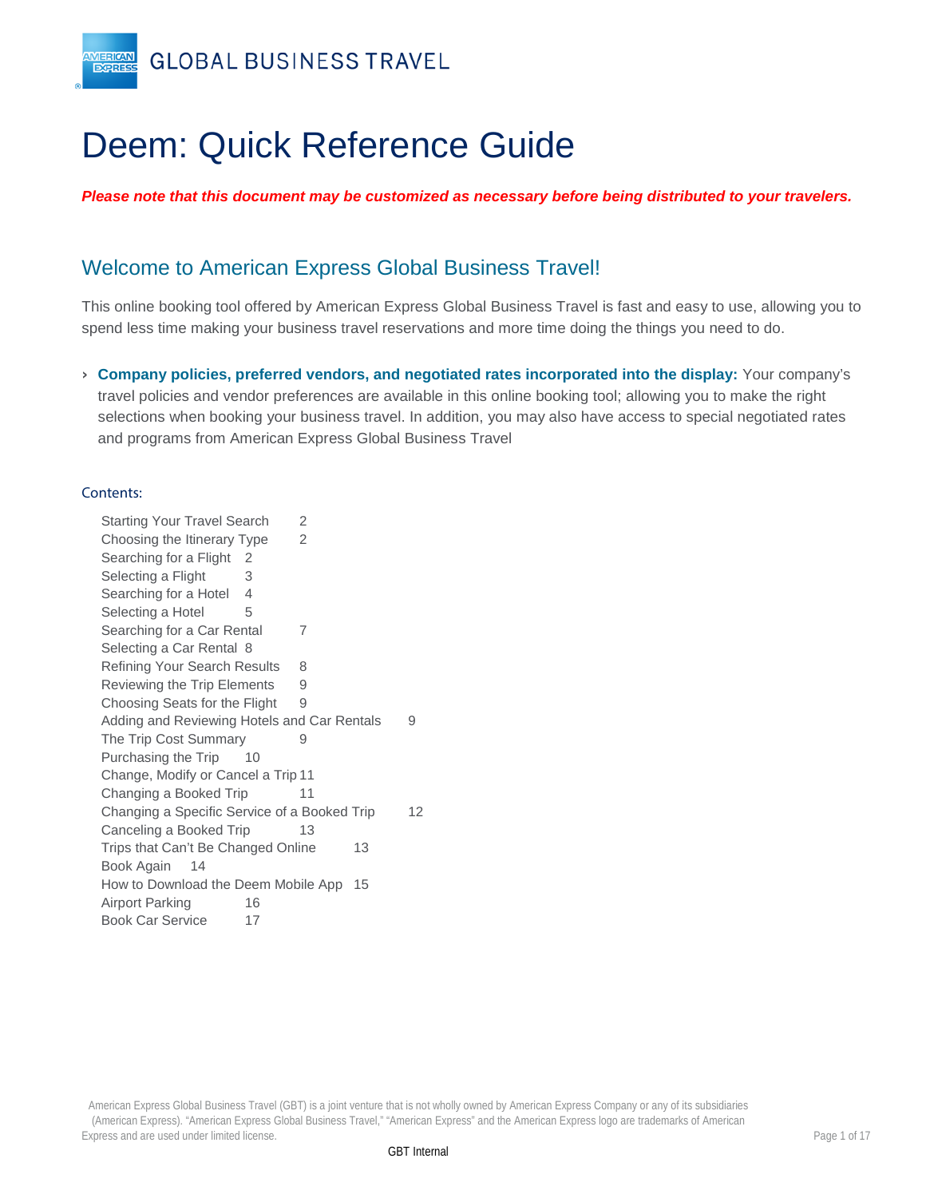

# Deem: Quick Reference Guide

*Please note that this document may be customized as necessary before being distributed to your travelers.* 

# Welcome to American Express Global Business Travel!

This online booking tool offered by American Express Global Business Travel is fast and easy to use, allowing you to spend less time making your business travel reservations and more time doing the things you need to do.

› **Company policies, preferred vendors, and negotiated rates incorporated into the display:** Your company's travel policies and vendor preferences are available in this online booking tool; allowing you to make the right selections when booking your business travel. In addition, you may also have access to special negotiated rates and programs from American Express Global Business Travel

#### Contents:

[Starting Your Travel Search](#page-1-0)[Choosing the Itinerary Type](#page-1-1)[Searching for a Flight](#page-1-2)[Selecting a Flight](#page-2-0)[Searching for a Hotel](#page-3-0)[Selecting a Hotel](#page-4-0)[Searching for a Car Rental](#page-6-0)[Selecting a Car Rental](#page-7-0) 8 [Refining Your Search Results](#page-7-1)[Reviewing the Trip Elements](#page-8-0)[Choosing Seats for the Flight](#page-8-1)[Adding and Reviewing Hotels and Car Rentals](#page-8-2)[The Trip Cost Summary](#page-8-3)[Purchasing the Trip](#page-9-0)[Change, Modify or Cancel a Trip](#page-10-0) 11 [Changing a Booked Trip](#page-10-1) 11 [Changing a Specific Service of a Booked Trip](#page-11-0) 12 [Canceling a Booked Trip](#page-12-0)[Trips that Can't Be Changed Online](#page-12-1)[Book Again](#page-13-0) 14 [How to Download the Deem Mobile App](#page-14-0) 15 [Airport Parking](#page-15-0)[Book Car Service](#page-16-0)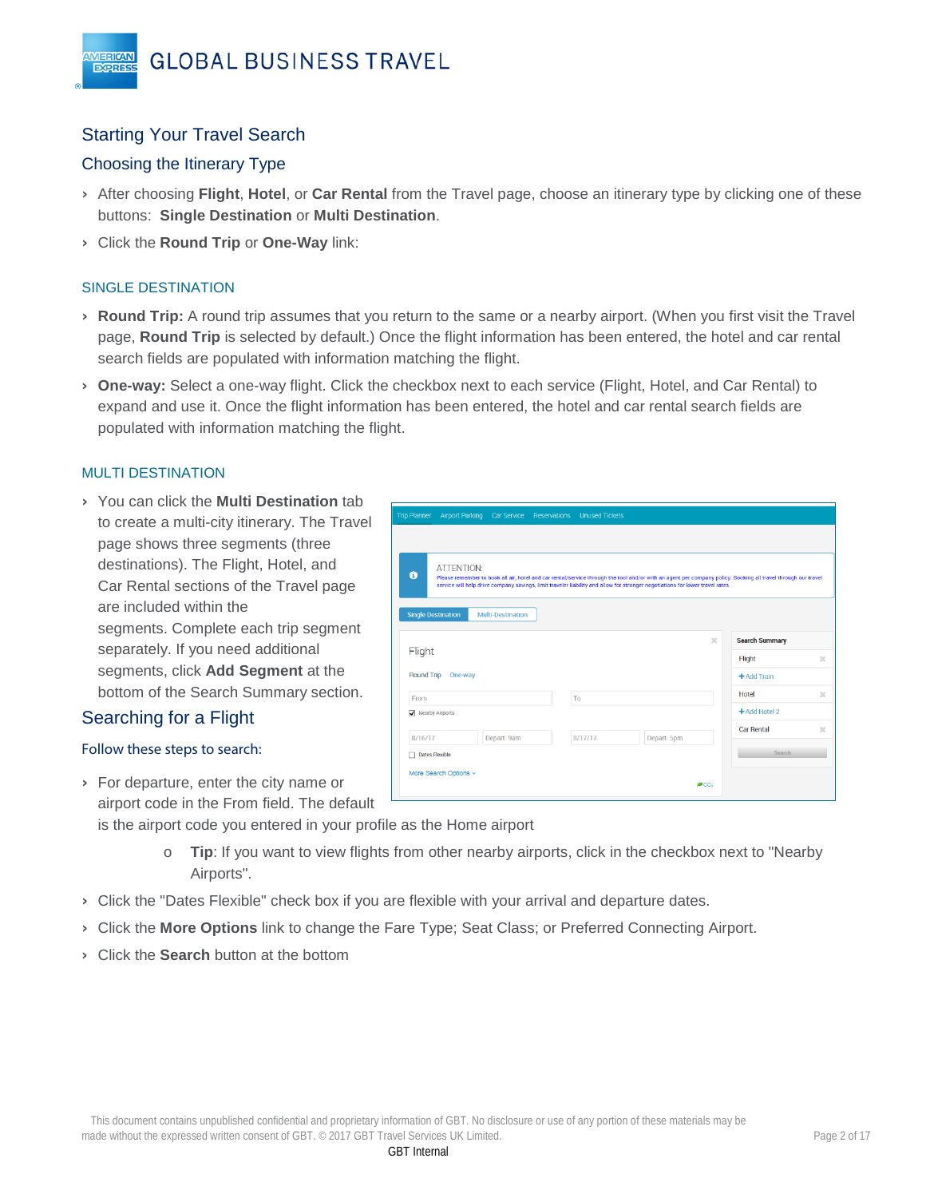## <span id="page-1-0"></span>Starting Your Travel Search

#### <span id="page-1-1"></span>Choosing the Itinerary Type

- › After choosing **Flight**, **Hotel**, or **Car Rental** from the Travel page, choose an itinerary type by clicking one of these buttons: **Single Destination** or **Multi Destination**.
- › Click the **Round Trip** or **One-Way** link:

#### SINGLE DESTINATION

VIERICAN **EXPRES** 

- › **Round Trip:** A round trip assumes that you return to the same or a nearby airport. (When you first visit the Travel page, **Round Trip** is selected by default.) Once the flight information has been entered, the hotel and car rental search fields are populated with information matching the flight.
- › **One-way:** Select a one-way flight. Click the checkbox next to each service (Flight, Hotel, and Car Rental) to expand and use it. Once the flight information has been entered, the hotel and car rental search fields are populated with information matching the flight.

#### MULTI DESTINATION

› You can click the **Multi Destination** tab to create a multi-city itinerary. The Travel page shows three segments (three destinations). The Flight, Hotel, and Car Rental sections of the Travel page are included within the segments. Complete each trip segment separately. If you need additional segments, click **Add Segment** at the bottom of the Search Summary section.

#### <span id="page-1-2"></span>Searching for a Flight

#### Follow these steps to search:

› For departure, enter the city name or airport code in the From field. The default

is the airport code you entered in your profile as the Home airport

- o **Tip**: If you want to view flights from other nearby airports, click in the checkbox next to "Nearby Airports".
- › Click the "Dates Flexible" check box if you are flexible with your arrival and departure dates.
- › Click the **More Options** link to change the Fare Type; Seat Class; or Preferred Connecting Airport.
- › Click the **Search** button at the bottom

| $\ddot{\mathbf{e}}$       | service will help drive company savings, limit traveler liability and allow for stronger negotiations for lower travel rates. |         | Please remember to book all air, hotel and car rental/service through the tool and/or with an agent per company policy. Booking all travel through our travel |                         |                       |  |
|---------------------------|-------------------------------------------------------------------------------------------------------------------------------|---------|---------------------------------------------------------------------------------------------------------------------------------------------------------------|-------------------------|-----------------------|--|
| <b>Single Destination</b> | <b>Multi-Destination</b>                                                                                                      |         |                                                                                                                                                               |                         |                       |  |
|                           |                                                                                                                               |         |                                                                                                                                                               | $\overline{\mathbf{x}}$ | <b>Search Summary</b> |  |
| Flight                    |                                                                                                                               |         |                                                                                                                                                               |                         | Flight                |  |
| <b>Round Trip</b>         | One-way                                                                                                                       |         |                                                                                                                                                               |                         | + Add Train           |  |
| From                      |                                                                                                                               | To      |                                                                                                                                                               |                         | Hotel                 |  |
| Nearby Airports           |                                                                                                                               |         |                                                                                                                                                               |                         | +Add Hotel 2          |  |
| 8/16/17                   | Depart: 9am                                                                                                                   | 8/17/17 | Depart: 5pm                                                                                                                                                   |                         | <b>Car Rental</b>     |  |
|                           |                                                                                                                               |         |                                                                                                                                                               |                         | Search                |  |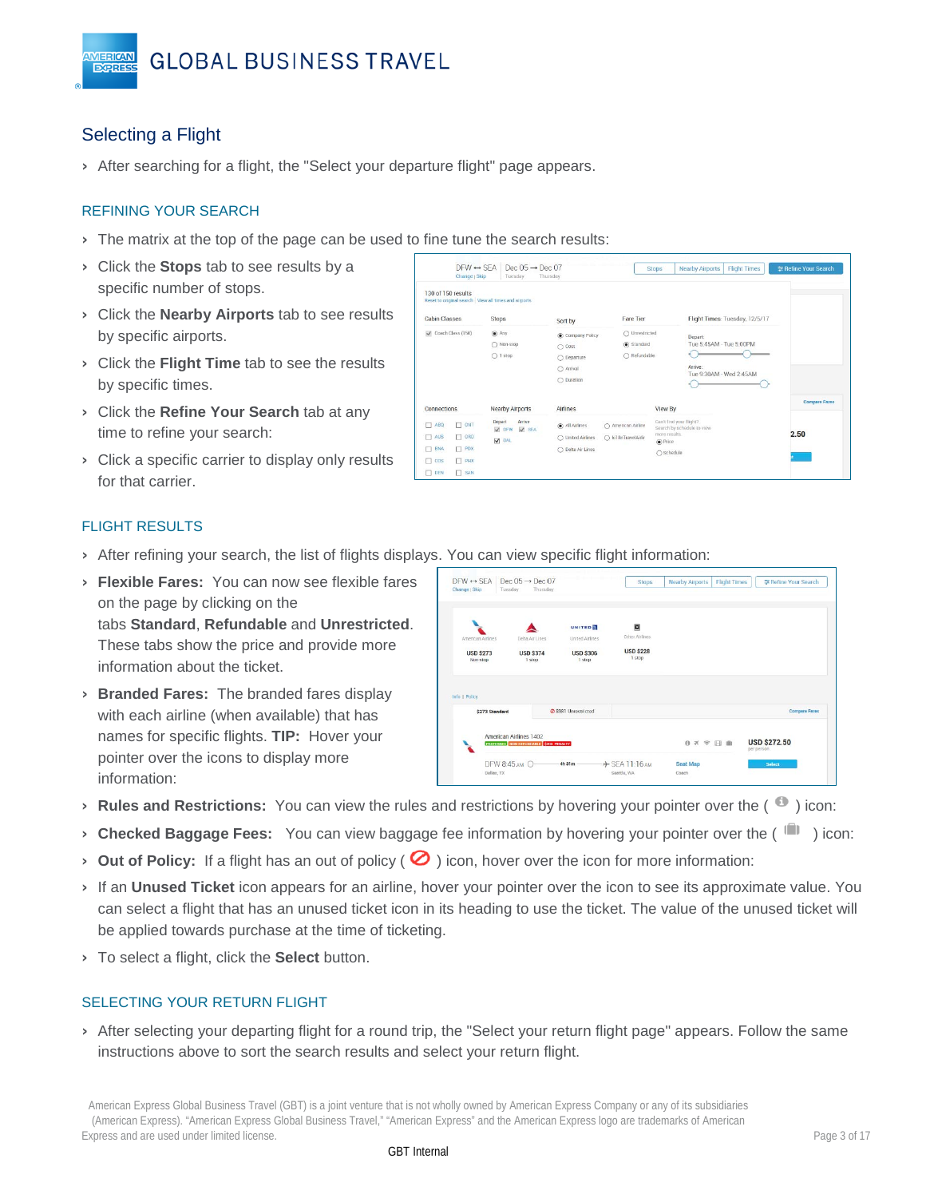

## <span id="page-2-0"></span>Selecting a Flight

**VIERICAN** 

› After searching for a flight, the "Select your departure flight" page appears.

#### REFINING YOUR SEARCH

- > The matrix at the top of the page can be used to fine tune the search results:
- › Click the **Stops** tab to see results by a specific number of stops.
- › Click the **Nearby Airports** tab to see results by specific airports.
- › Click the **Flight Time** tab to see the results by specific times.
- › Click the **Refine Your Search** tab at any time to refine your search:
- › Click a specific carrier to display only results for that carrier.

| Change   Skip                                                                | Tuesday                                   | Thursday            |                     |                                                       |                      |
|------------------------------------------------------------------------------|-------------------------------------------|---------------------|---------------------|-------------------------------------------------------|----------------------|
| 130 of 150 results<br>Reset to original search   View all times and airports |                                           |                     |                     |                                                       |                      |
| <b>Cabin Classes</b>                                                         | <b>Stops</b>                              | Sort by             | <b>Fare Tier</b>    | Flight Times: Tuesday, 12/5/17                        |                      |
| Coach Class (150)                                                            | $\circledbullet$ Any                      | Company Policy      | ○ Unrestricted      | Depart:                                               |                      |
|                                                                              | Non-stop                                  | $\cap$ Cost         | (c) Standard        | Tue 5:45AM - Tue 5:00PM                               |                      |
|                                                                              | $\bigcirc$ 1 stop                         | $\bigcap$ Departure | ○ Refundable        |                                                       |                      |
|                                                                              |                                           | $\bigcap$ Arrival   |                     | Arrive:<br>Tue 9:30AM - Wed 2:45AM                    |                      |
|                                                                              |                                           | ○ Duration          |                     |                                                       |                      |
|                                                                              |                                           |                     |                     |                                                       | <b>Compare Fares</b> |
| Connections                                                                  | Nearby Airports                           | <b>Airlines</b>     |                     | View By                                               |                      |
| $\Box$ ONT<br>$\Box$ ABQ                                                     | Arrive<br>Depart<br>V SEA<br>$\sqrt{DFW}$ | a) All Airlines     | ○ American Airline  | Can't find your flight?<br>Search by schedule to view |                      |
| $\Box$ ORD<br>$\Box$ AUS                                                     | <b>V</b> DAL                              | ◯ United Airlines   | ○ ki18nTravelAirlin | more results.<br>$\circ$ Price                        | 2.50                 |
| $\Box$ PDX<br><b>BNA</b>                                                     |                                           | ◯ Delta Air Lines   |                     | ○ Schedule                                            |                      |
|                                                                              |                                           |                     |                     |                                                       |                      |

#### FLIGHT RESULTS

- › After refining your search, the list of flights displays. You can view specific flight information:
- › **Flexible Fares:** You can now see flexible fares on the page by clicking on the tabs **Standard**, **Refundable** and **Unrestricted**. These tabs show the price and provide more information about the ticket.
- › **Branded Fares:** The branded fares display with each airline (when available) that has names for specific flights. **TIP:** Hover your pointer over the icons to display more information:

|                                  |                            | <b>UNITED</b>              | 國                          |                      |
|----------------------------------|----------------------------|----------------------------|----------------------------|----------------------|
| American Airlines                | Delta Air Lines            | United Airlines            | Other Airlines             |                      |
| <b>USD \$273</b><br>Non-stop     | <b>USD \$374</b><br>1 stop | <b>USD \$306</b><br>1 stop | <b>USD \$228</b><br>1 stop |                      |
|                                  |                            |                            |                            |                      |
| Info.   Policy<br>\$273 Standard |                            | 2 S981 Unrestricted        |                            | <b>Compare Fares</b> |

- **Rules and Restrictions:** You can view the rules and restrictions by hovering your pointer over the (<sup>1</sup>) icon:
- **Checked Baggage Fees:** You can view baggage fee information by hovering your pointer over the ( $\blacksquare$ ) icon:
- **Out of Policy:** If a flight has an out of policy ( $\bigcirc$ ) icon, hover over the icon for more information:
- › If an **Unused Ticket** icon appears for an airline, hover your pointer over the icon to see its approximate value. You can select a flight that has an unused ticket icon in its heading to use the ticket. The value of the unused ticket will be applied towards purchase at the time of ticketing.
- › To select a flight, click the **Select** button.

#### SELECTING YOUR RETURN FLIGHT

› After selecting your departing flight for a round trip, the "Select your return flight page" appears. Follow the same instructions above to sort the search results and select your return flight.

American Express Global Business Travel (GBT) is a joint venture that is not wholly owned by American Express Company or any of its subsidiaries (American Express). "American Express Global Business Travel," "American Express" and the American Express logo are trademarks of American Express and are used under limited license. Page 3 of 17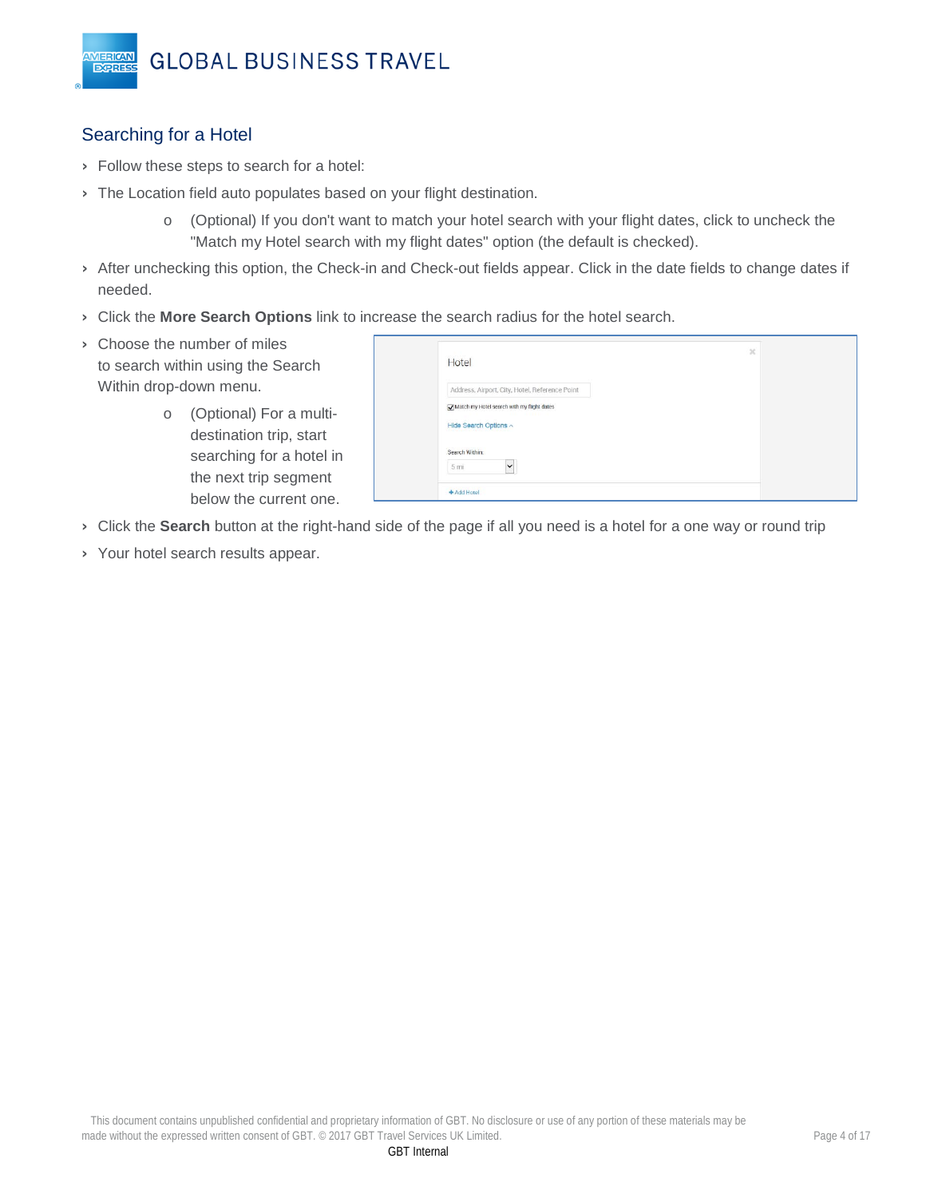## <span id="page-3-0"></span>Searching for a Hotel

**MERICAN EXPRES** 

- › Follow these steps to search for a hotel:
- > The Location field auto populates based on your flight destination.
	- o (Optional) If you don't want to match your hotel search with your flight dates, click to uncheck the "Match my Hotel search with my flight dates" option (the default is checked).
- › After unchecking this option, the Check-in and Check-out fields appear. Click in the date fields to change dates if needed.
- › Click the **More Search Options** link to increase the search radius for the hotel search.
- › Choose the number of miles to search within using the Search Within drop-down menu.
	- o (Optional) For a multidestination trip, start searching for a hotel in the next trip segment below the current one.

| Hotel                                          | $\mathcal{H}$ |  |
|------------------------------------------------|---------------|--|
| Address, Airport, City, Hotel, Reference Point |               |  |
| Match my Hotel search with my flight dates     |               |  |
| Hide Search Options ^                          |               |  |
| Search Within:                                 |               |  |
| $\checkmark$<br>5 <sub>mi</sub>                |               |  |
| + Add Hotel                                    |               |  |

- › Click the **Search** button at the right-hand side of the page if all you need is a hotel for a one way or round trip
- › Your hotel search results appear.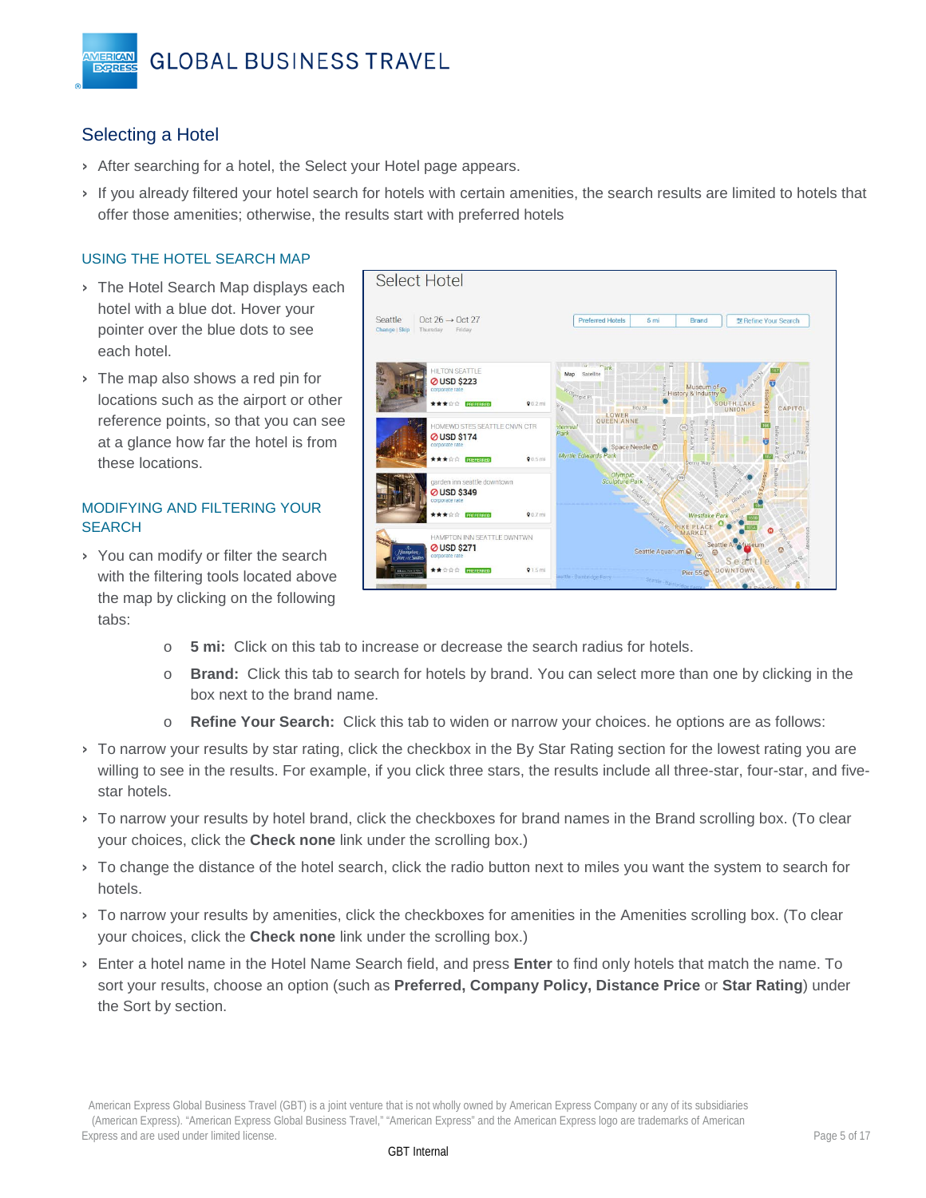## <span id="page-4-0"></span>Selecting a Hotel

**VIERICAN** 

**EXPRES** 

- › After searching for a hotel, the Select your Hotel page appears.
- › If you already filtered your hotel search for hotels with certain amenities, the search results are limited to hotels that offer those amenities; otherwise, the results start with preferred hotels

#### USING THE HOTEL SEARCH MAP

- › The Hotel Search Map displays each hotel with a blue dot. Hover your pointer over the blue dots to see each hotel.
- > The map also shows a red pin for locations such as the airport or other reference points, so that you can see at a glance how far the hotel is from these locations.

#### MODIFYING AND FILTERING YOUR **SEARCH**

› You can modify or filter the search with the filtering tools located above the map by clicking on the following tabs:



- o **5 mi:** Click on this tab to increase or decrease the search radius for hotels.
- o **Brand:** Click this tab to search for hotels by brand. You can select more than one by clicking in the box next to the brand name.
- o **Refine Your Search:** Click this tab to widen or narrow your choices. he options are as follows:
- › To narrow your results by star rating, click the checkbox in the By Star Rating section for the lowest rating you are willing to see in the results. For example, if you click three stars, the results include all three-star, four-star, and fivestar hotels.
- › To narrow your results by hotel brand, click the checkboxes for brand names in the Brand scrolling box. (To clear your choices, click the **Check none** link under the scrolling box.)
- › To change the distance of the hotel search, click the radio button next to miles you want the system to search for hotels.
- › To narrow your results by amenities, click the checkboxes for amenities in the Amenities scrolling box. (To clear your choices, click the **Check none** link under the scrolling box.)
- › Enter a hotel name in the Hotel Name Search field, and press **Enter** to find only hotels that match the name. To sort your results, choose an option (such as **Preferred, Company Policy, Distance Price** or **Star Rating**) under the Sort by section.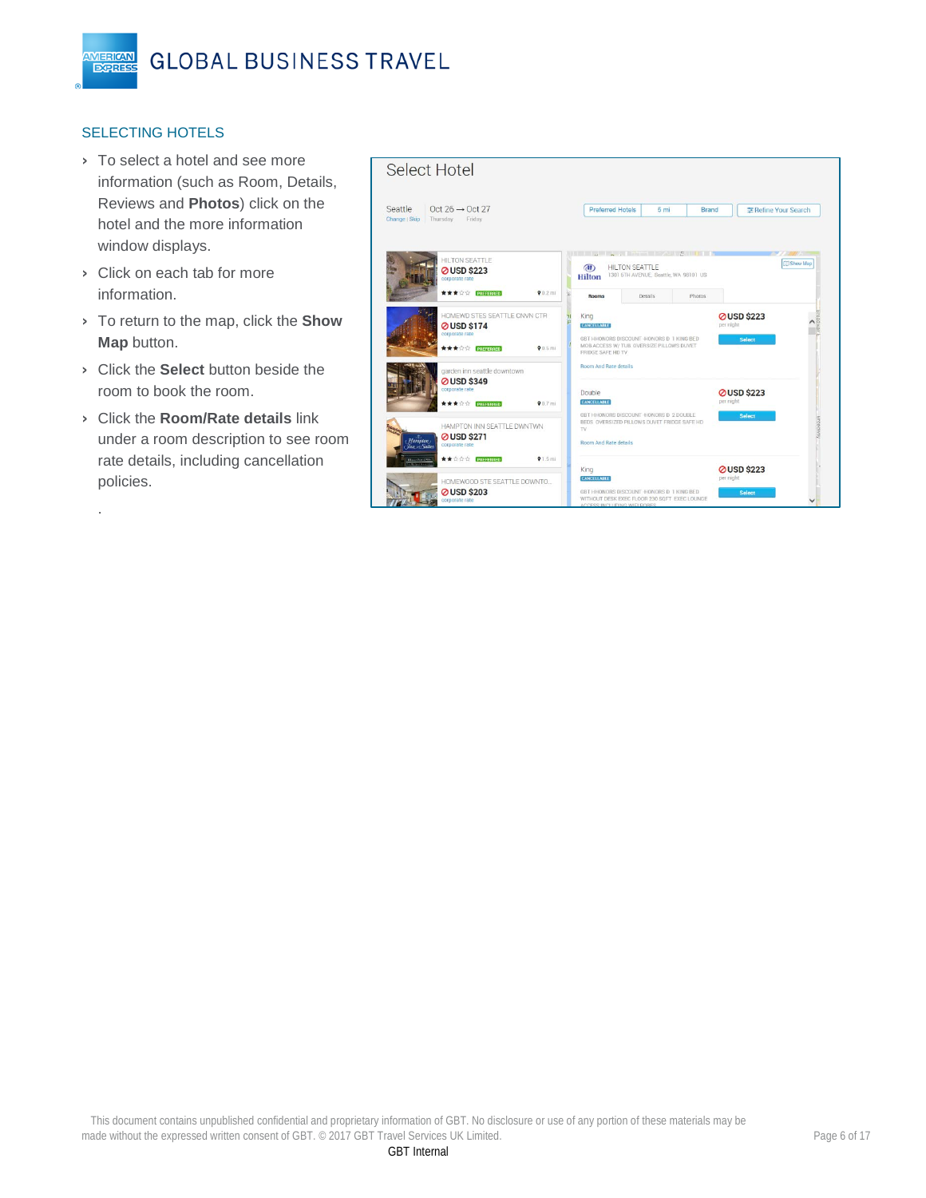#### SELECTING HOTELS

**MERICAN** 

**EXPRES** 

- › To select a hotel and see more information (such as Room, Details, Reviews and **Photos**) click on the hotel and the more information window displays.
- › Click on each tab for more information.

.

- › To return to the map, click the **Show Map** button.
- › Click the **Select** button beside the room to book the room.
- › Click the **Room/Rate details** link under a room description to see room rate details, including cancellation policies.

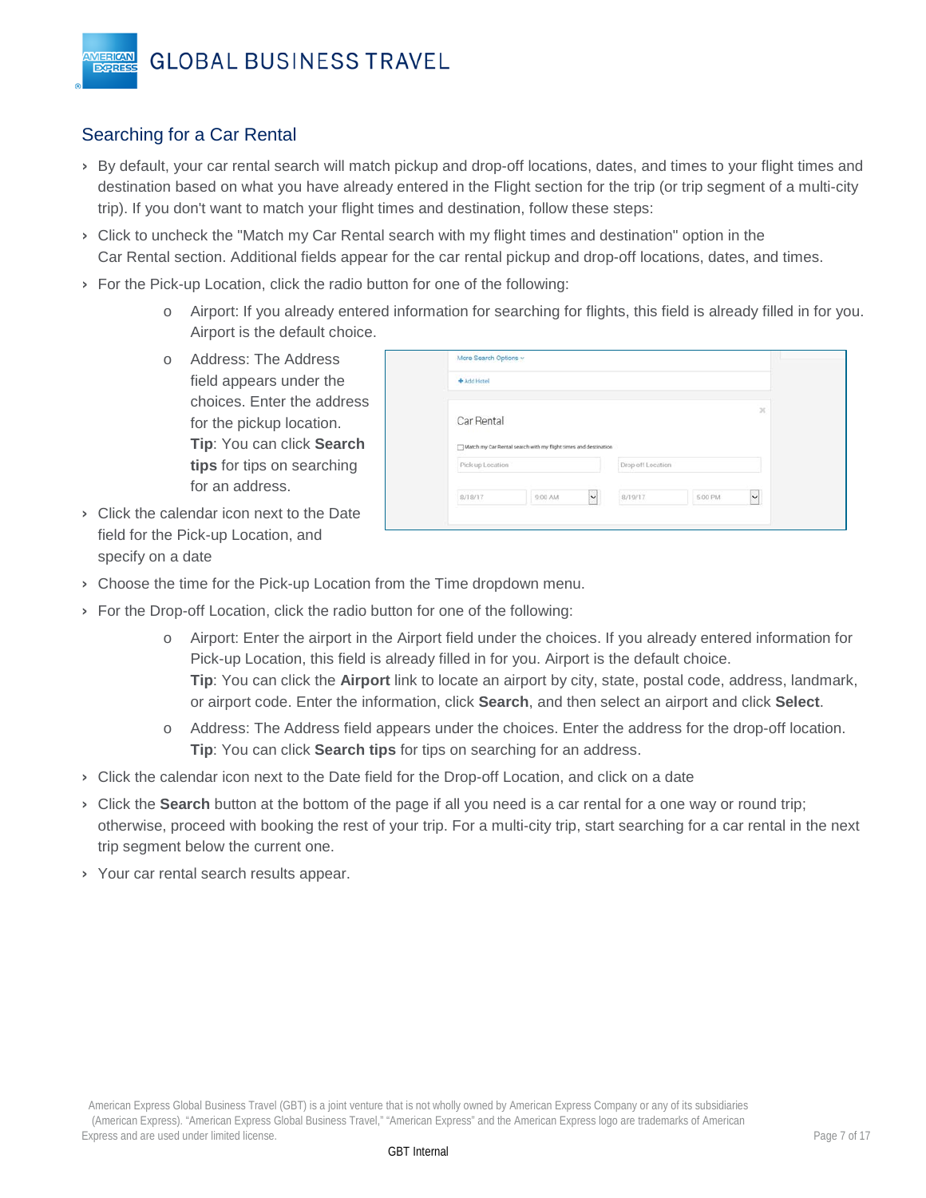## <span id="page-6-0"></span>Searching for a Car Rental

**VIERICAN** 

**EXPRES** 

- › By default, your car rental search will match pickup and drop-off locations, dates, and times to your flight times and destination based on what you have already entered in the Flight section for the trip (or trip segment of a multi-city trip). If you don't want to match your flight times and destination, follow these steps:
- › Click to uncheck the "Match my Car Rental search with my flight times and destination" option in the Car Rental section. Additional fields appear for the car rental pickup and drop-off locations, dates, and times.
- › For the Pick-up Location, click the radio button for one of the following:
	- o Airport: If you already entered information for searching for flights, this field is already filled in for you. Airport is the default choice.
	- o Address: The Address field appears under the choices. Enter the address for the pickup location. **Tip**: You can click **Search tips** for tips on searching for an address.

| + Add Hotel      |                                                                 |                   |               |
|------------------|-----------------------------------------------------------------|-------------------|---------------|
| Car Rental       |                                                                 |                   | $\mathcal{R}$ |
|                  |                                                                 |                   |               |
|                  | Match my Car Rental search with my flight times and destination |                   |               |
| Pick-up Location |                                                                 | Drop-off Location |               |

- › Click the calendar icon next to the Date field for the Pick-up Location, and specify on a date
- › Choose the time for the Pick-up Location from the Time dropdown menu.
- › For the Drop-off Location, click the radio button for one of the following:
	- o Airport: Enter the airport in the Airport field under the choices. If you already entered information for Pick-up Location, this field is already filled in for you. Airport is the default choice. **Tip**: You can click the **Airport** link to locate an airport by city, state, postal code, address, landmark, or airport code. Enter the information, click **Search**, and then select an airport and click **Select**.
	- o Address: The Address field appears under the choices. Enter the address for the drop-off location. **Tip**: You can click **Search tips** for tips on searching for an address.
- › Click the calendar icon next to the Date field for the Drop-off Location, and click on a date
- › Click the **Search** button at the bottom of the page if all you need is a car rental for a one way or round trip; otherwise, proceed with booking the rest of your trip. For a multi-city trip, start searching for a car rental in the next trip segment below the current one.
- › Your car rental search results appear.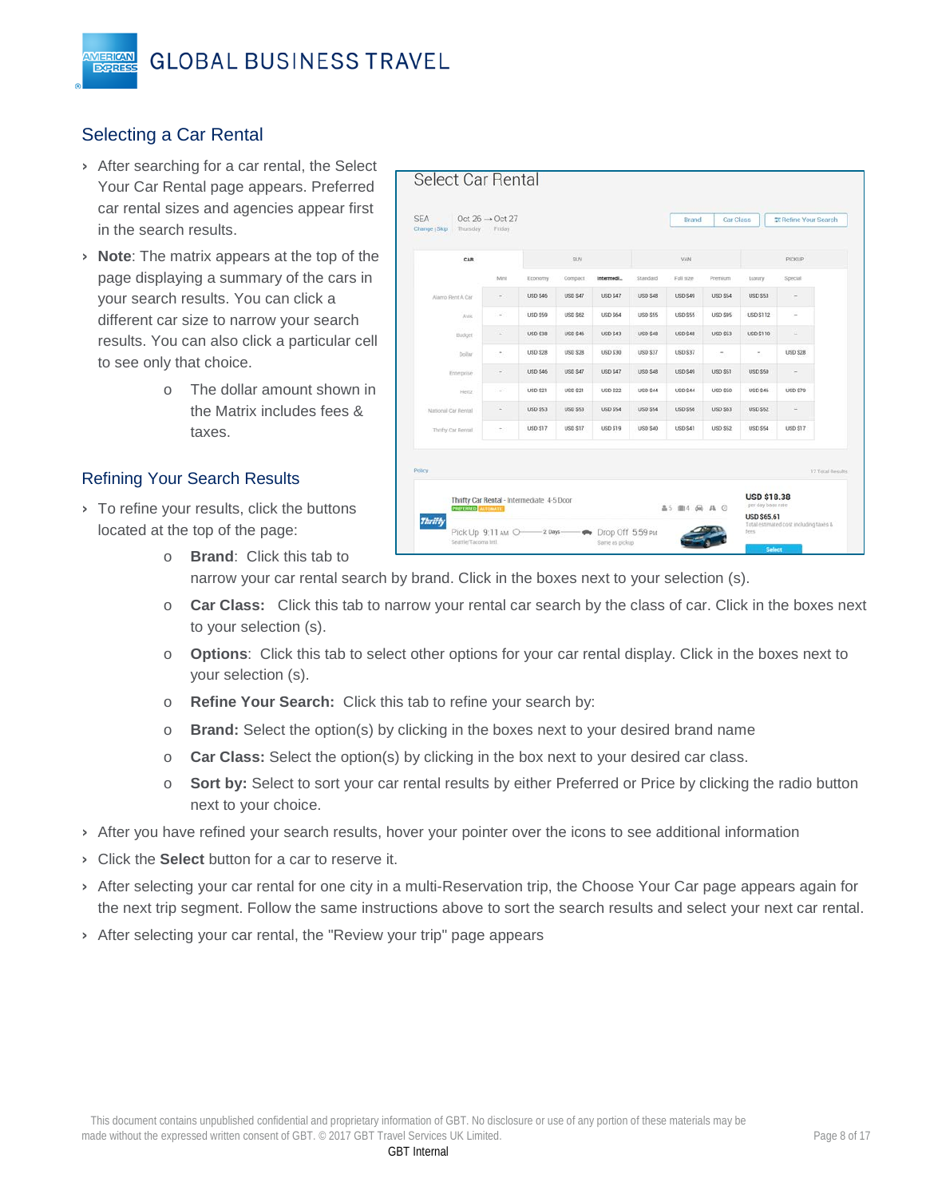## <span id="page-7-0"></span>Selecting a Car Rental

**IERICAN EXPRE** 

- › After searching for a car rental, the Select Your Car Rental page appears. Preferred car rental sizes and agencies appear first in the search results.
- › **Note**: The matrix appears at the top of the page displaying a summary of the cars in your search results. You can click a different car size to narrow your search results. You can also click a particular cell to see only that choice.
	- o The dollar amount shown in the Matrix includes fees & taxes.

#### <span id="page-7-1"></span>Refining Your Search Results

> To refine your results, click the buttons located at the top of the page:

| CAR                 |                                                                     |                 | SUV             |                 |                 | VAN             |                 |                  | <b>PICKUP</b>    |
|---------------------|---------------------------------------------------------------------|-----------------|-----------------|-----------------|-----------------|-----------------|-----------------|------------------|------------------|
|                     | Mini                                                                | Economy         | Compact         | Intermedi       | Standard        | Full size       | Premium         | Luxury           | Special          |
| Alamo Rent A Car    | ÷                                                                   | <b>USD \$45</b> | <b>USD \$47</b> | <b>USD \$47</b> | USD \$48        | <b>USD \$49</b> | <b>USD \$54</b> | <b>USD \$53</b>  | ÷                |
| <b>Avis</b>         | ۰                                                                   | <b>USD \$59</b> | <b>USD \$62</b> | <b>USD \$64</b> | USD SSS         | <b>USD \$55</b> | <b>USD \$95</b> | <b>USD \$112</b> | $\frac{1}{2}$    |
| <b>Budget</b>       | í.                                                                  | <b>USD \$38</b> | <b>USD \$46</b> | <b>USD \$43</b> | <b>USD \$48</b> | <b>USD \$48</b> | <b>USD \$53</b> | USD \$110        | ٠                |
| Dollar              | $\scriptstyle\rm m$                                                 | <b>USD \$28</b> | <b>USD \$28</b> | <b>USD \$30</b> | <b>USD \$37</b> | <b>USD \$37</b> | $\frac{1}{2}$   | $\sim$           | <b>USD \$28</b>  |
| Enterprise          | ÷                                                                   | <b>USD \$45</b> | <b>USD \$47</b> | <b>USD \$47</b> | <b>USD \$48</b> | <b>USD \$49</b> | <b>USD \$51</b> | <b>USD \$50</b>  |                  |
| Hertz               | $\frac{1}{2} \left( \frac{1}{2} \right) \left( \frac{1}{2} \right)$ | <b>USD \$21</b> | <b>USD \$21</b> | <b>USD \$22</b> | USD S44         | <b>USD S44</b>  | <b>USD \$50</b> | <b>USD \$46</b>  | USD \$79         |
| National Car Rental | $\overline{\phantom{a}}$                                            | <b>USD \$53</b> | <b>USD \$53</b> | USD \$54        | <b>USD \$54</b> | <b>USD \$56</b> | <b>USD \$63</b> | <b>USD \$52</b>  | ٠                |
| Thrifty Car Rental  | ×                                                                   | <b>USD \$17</b> | <b>USD \$17</b> | <b>USD \$19</b> | <b>USD \$40</b> | <b>USD \$41</b> | <b>USD \$52</b> | <b>USD \$54</b>  | USD \$17         |
|                     |                                                                     |                 |                 |                 |                 |                 |                 |                  | 17 Total Results |

o **Brand**: Click this tab to

narrow your car rental search by brand. Click in the boxes next to your selection (s).

- o **Car Class:** Click this tab to narrow your rental car search by the class of car. Click in the boxes next to your selection (s).
- o **Options**: Click this tab to select other options for your car rental display. Click in the boxes next to your selection (s).
- o **Refine Your Search:** Click this tab to refine your search by:
- o **Brand:** Select the option(s) by clicking in the boxes next to your desired brand name
- o **Car Class:** Select the option(s) by clicking in the box next to your desired car class.
- o **Sort by:** Select to sort your car rental results by either Preferred or Price by clicking the radio button next to your choice.
- › After you have refined your search results, hover your pointer over the icons to see additional information
- › Click the **Select** button for a car to reserve it.
- › After selecting your car rental for one city in a multi-Reservation trip, the Choose Your Car page appears again for the next trip segment. Follow the same instructions above to sort the search results and select your next car rental.
- › After selecting your car rental, the "Review your trip" page appears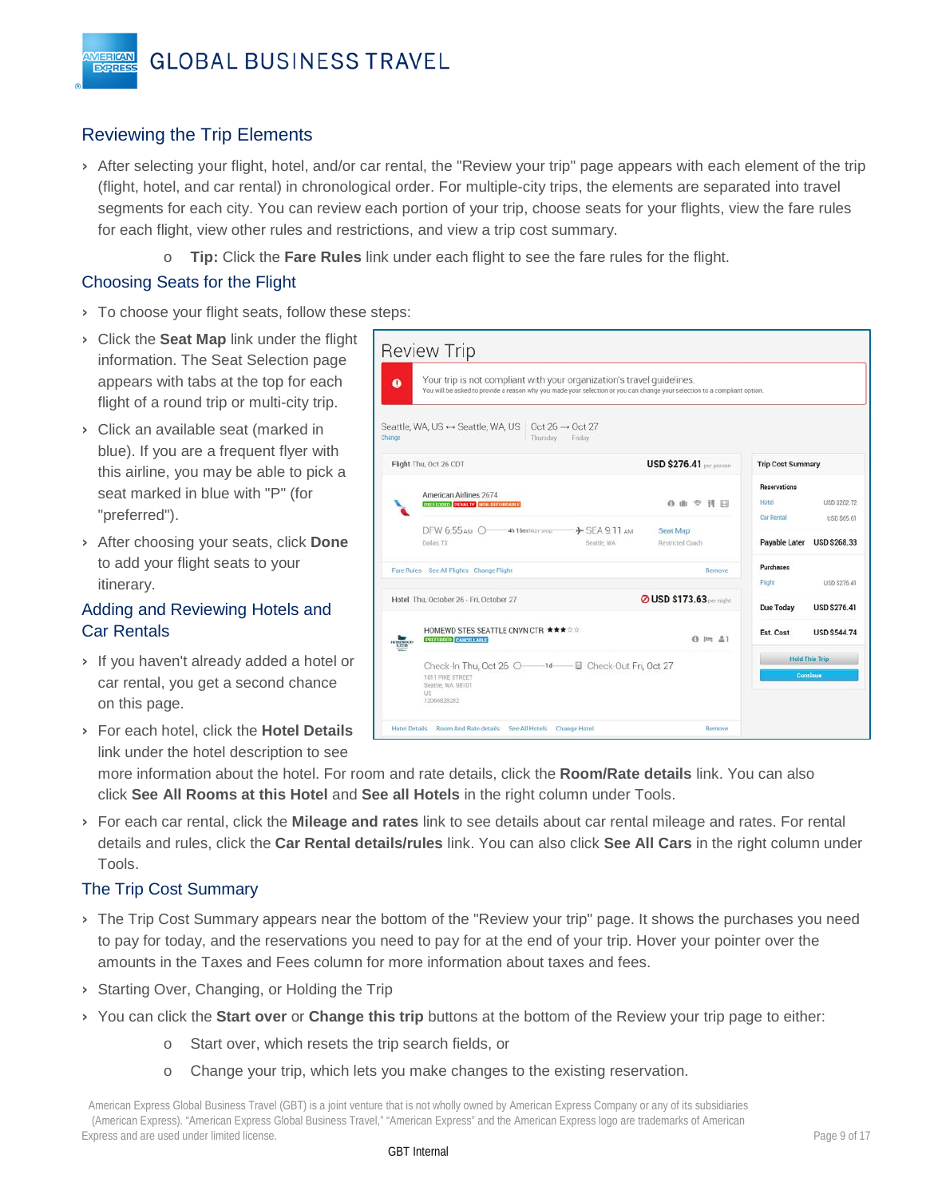## <span id="page-8-0"></span>Reviewing the Trip Elements

**VIERICAN** 

- › After selecting your flight, hotel, and/or car rental, the "Review your trip" page appears with each element of the trip (flight, hotel, and car rental) in chronological order. For multiple-city trips, the elements are separated into travel segments for each city. You can review each portion of your trip, choose seats for your flights, view the fare rules for each flight, view other rules and restrictions, and view a trip cost summary.
	- o **Tip:** Click the **Fare Rules** link under each flight to see the fare rules for the flight.

#### <span id="page-8-1"></span>Choosing Seats for the Flight

- › To choose your flight seats, follow these steps:
- > Click the **Seat Map** link under the flight  $\begin{bmatrix} 1 & 1 \\ 1 & 1 \end{bmatrix}$ information. The Seat Selection page appears with tabs at the top for each flight of a round trip or multi-city trip.
- › Click an available seat (marked in blue). If you are a frequent flyer with this airline, you may be able to pick a seat marked in blue with "P" (for "preferred").
- › After choosing your seats, click **Done** to add your flight seats to your itinerary.

## <span id="page-8-2"></span>Adding and Reviewing Hotels and Car Rentals

- › If you haven't already added a hotel or car rental, you get a second chance on this page.
- › For each hotel, click the **Hotel Details** link under the hotel description to see

| Seattle, WA, US ↔ Seattle, WA, US Oct 26 → Oct 27<br>Thursday<br>Friday    |                                |                                                                                                                                                                                                                                                                                             |
|----------------------------------------------------------------------------|--------------------------------|---------------------------------------------------------------------------------------------------------------------------------------------------------------------------------------------------------------------------------------------------------------------------------------------|
| Flight Thu, Oct 26 CDT                                                     | <b>USD \$276.41</b> per person | <b>Trip Cost Summary</b>                                                                                                                                                                                                                                                                    |
| American Airlines 2674<br>PROTRED PENALTY NON-RETURBANCE                   | 6曲 空刊 日                        | Reservations<br>Hotel<br>USD \$202.72<br>Car Rental<br>USD \$65.61                                                                                                                                                                                                                          |
| DFW 6:55 дм 0-4h 16m Non-Stop->>> SEA 9:11 дм<br>Dallas, TX<br>Seattle, WA | Seat Map<br>Restricted Coach   | Payable Later<br><b>USD \$268.33</b>                                                                                                                                                                                                                                                        |
| Fare Rules See All Flights Change Flight                                   | Remove                         | Purchases<br>Flight<br>USD \$276.41                                                                                                                                                                                                                                                         |
| Hotel Thu, October 26 - Fri, October 27                                    |                                | <b>Due Today</b><br><b>USD \$276.41</b>                                                                                                                                                                                                                                                     |
| HOMEWD STES SEATTLE CNVN CTR ★★★☆☆<br>PRITTRIED CANCELLABLE                | $A \equiv 21$                  | Est. Cost<br><b>USD \$544.74</b>                                                                                                                                                                                                                                                            |
| 1011 PIKE STREET<br>Seattle, WA 98101<br>US<br>12066828282                 |                                | <b>Hold This Trip</b><br>Continue                                                                                                                                                                                                                                                           |
|                                                                            |                                | Your trip is not compliant with your organization's travel quidelines.<br>You will be asked to provide a reason why you made your selection or you can change your selection to a compliant option.<br><b>O USD \$173.63</b> per might<br>Check-In Thu, Oct 26 O-1d-B Check-Out Fri, Oct 27 |

more information about the hotel. For room and rate details, click the **Room/Rate details** link. You can also click **See All Rooms at this Hotel** and **See all Hotels** in the right column under Tools.

› For each car rental, click the **Mileage and rates** link to see details about car rental mileage and rates. For rental details and rules, click the **Car Rental details/rules** link. You can also click **See All Cars** in the right column under Tools.

## <span id="page-8-3"></span>The Trip Cost Summary

- › The Trip Cost Summary appears near the bottom of the "Review your trip" page. It shows the purchases you need to pay for today, and the reservations you need to pay for at the end of your trip. Hover your pointer over the amounts in the Taxes and Fees column for more information about taxes and fees.
- › Starting Over, Changing, or Holding the Trip
- › You can click the **Start over** or **Change this trip** buttons at the bottom of the Review your trip page to either:
	- o Start over, which resets the trip search fields, or
	- o Change your trip, which lets you make changes to the existing reservation.

American Express Global Business Travel (GBT) is a joint venture that is not wholly owned by American Express Company or any of its subsidiaries (American Express). "American Express Global Business Travel," "American Express" and the American Express logo are trademarks of American Express and are used under limited license. Page 9 of 17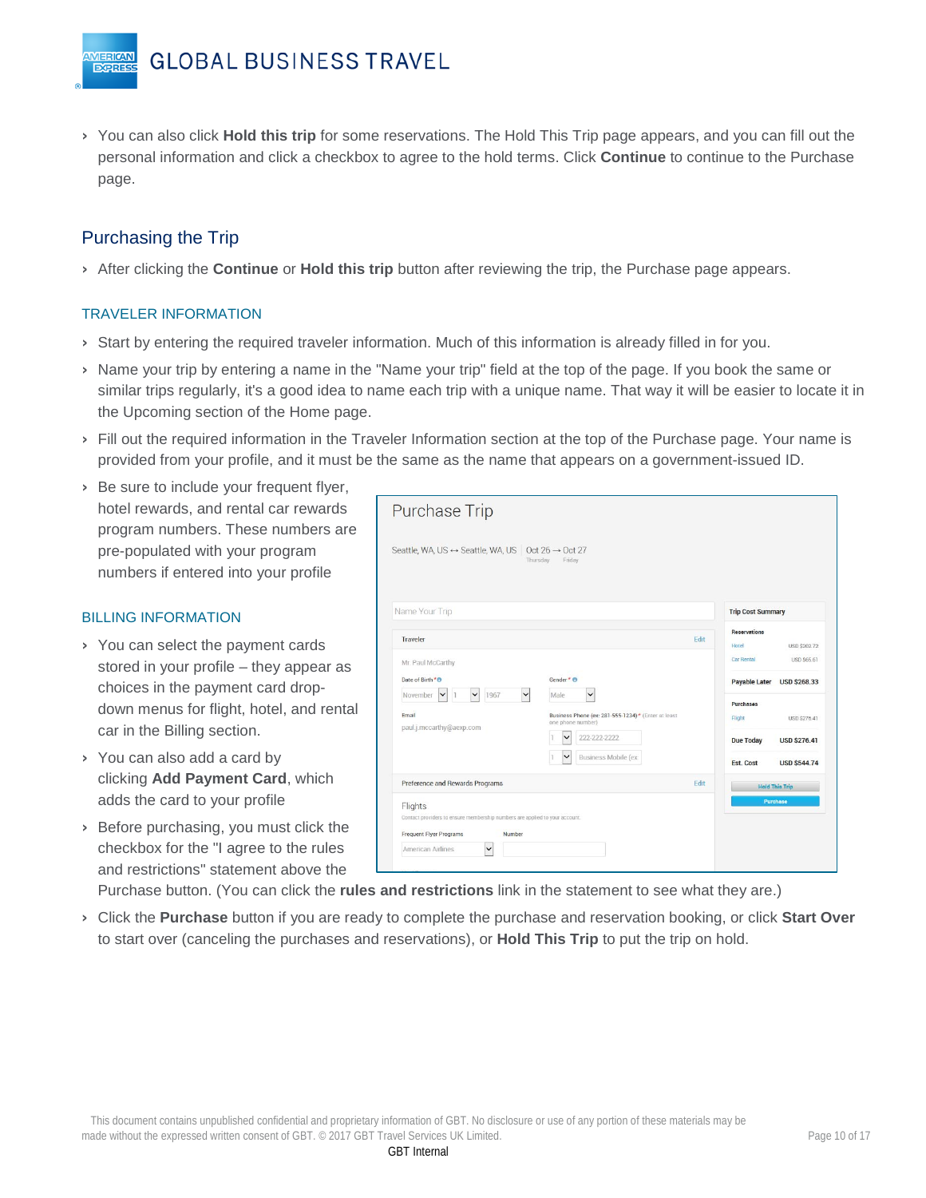› You can also click **Hold this trip** for some reservations. The Hold This Trip page appears, and you can fill out the personal information and click a checkbox to agree to the hold terms. Click **Continue** to continue to the Purchase page.

## <span id="page-9-0"></span>Purchasing the Trip

**IERICAN EXPRES** 

› After clicking the **Continue** or **Hold this trip** button after reviewing the trip, the Purchase page appears.

#### TRAVELER INFORMATION

- › Start by entering the required traveler information. Much of this information is already filled in for you.
- › Name your trip by entering a name in the "Name your trip" field at the top of the page. If you book the same or similar trips regularly, it's a good idea to name each trip with a unique name. That way it will be easier to locate it in the Upcoming section of the Home page.
- › Fill out the required information in the Traveler Information section at the top of the Purchase page. Your name is provided from your profile, and it must be the same as the name that appears on a government-issued ID.
- › Be sure to include your frequent flyer, hotel rewards, and rental car rewards program numbers. These numbers are pre-populated with your program numbers if entered into your profile

#### BILLING INFORMATION

- › You can select the payment cards stored in your profile – they appear as choices in the payment card dropdown menus for flight, hotel, and rental car in the Billing section.
- › You can also add a card by clicking **Add Payment Card**, which adds the card to your profile
- › Before purchasing, you must click the checkbox for the "I agree to the rules and restrictions" statement above the

| <b>Purchase Trip</b>                                                                            |                                                                         |      |                              |                            |
|-------------------------------------------------------------------------------------------------|-------------------------------------------------------------------------|------|------------------------------|----------------------------|
| Seattle, WA, US ↔ Seattle, WA, US Oct 26 → Oct 27                                               | Thursday<br>Friday                                                      |      |                              |                            |
| Name Your Trip                                                                                  |                                                                         |      | <b>Trip Cost Summary</b>     |                            |
| Traveler                                                                                        |                                                                         | Edit | <b>Reservations</b><br>Hotel | <b>USD \$202.72</b>        |
| Mr. Paul McCarthy                                                                               |                                                                         |      | Car Rental                   | USD \$65.61                |
| Date of Birth ***<br>$\check{ }$<br>$\checkmark$<br>1967<br>November<br>$\checkmark$<br>$\vert$ | Gender <sup>*</sup> O<br>$\checkmark$<br>Male                           |      |                              | Payable Later USD \$268.33 |
| Email<br>paul.j.mccarthy@aexp.com                                                               | Business Phone (ex: 281-555-1234)* (Enter at least<br>one phone number) |      | Purchases<br>Flight          | USD \$276.41               |
|                                                                                                 | 222-222-2222<br>$\check{ }$                                             |      | <b>Due Today</b>             | <b>USD \$276.41</b>        |
|                                                                                                 | $\checkmark$<br>Business Mobile (ex:                                    |      | <b>Est. Cost</b>             | <b>USD \$544.74</b>        |
| Preference and Rewards Programs                                                                 |                                                                         | Edit |                              | <b>Hold This Trip</b>      |
| Flights<br>Contact providers to ensure membership numbers are applied to your account.          |                                                                         |      |                              | <b>Purchase</b>            |
| <b>Frequent Flyer Programs</b><br>Number                                                        |                                                                         |      |                              |                            |
|                                                                                                 |                                                                         |      |                              |                            |

Purchase button. (You can click the **rules and restrictions** link in the statement to see what they are.)

› Click the **Purchase** button if you are ready to complete the purchase and reservation booking, or click **Start Over** to start over (canceling the purchases and reservations), or **Hold This Trip** to put the trip on hold.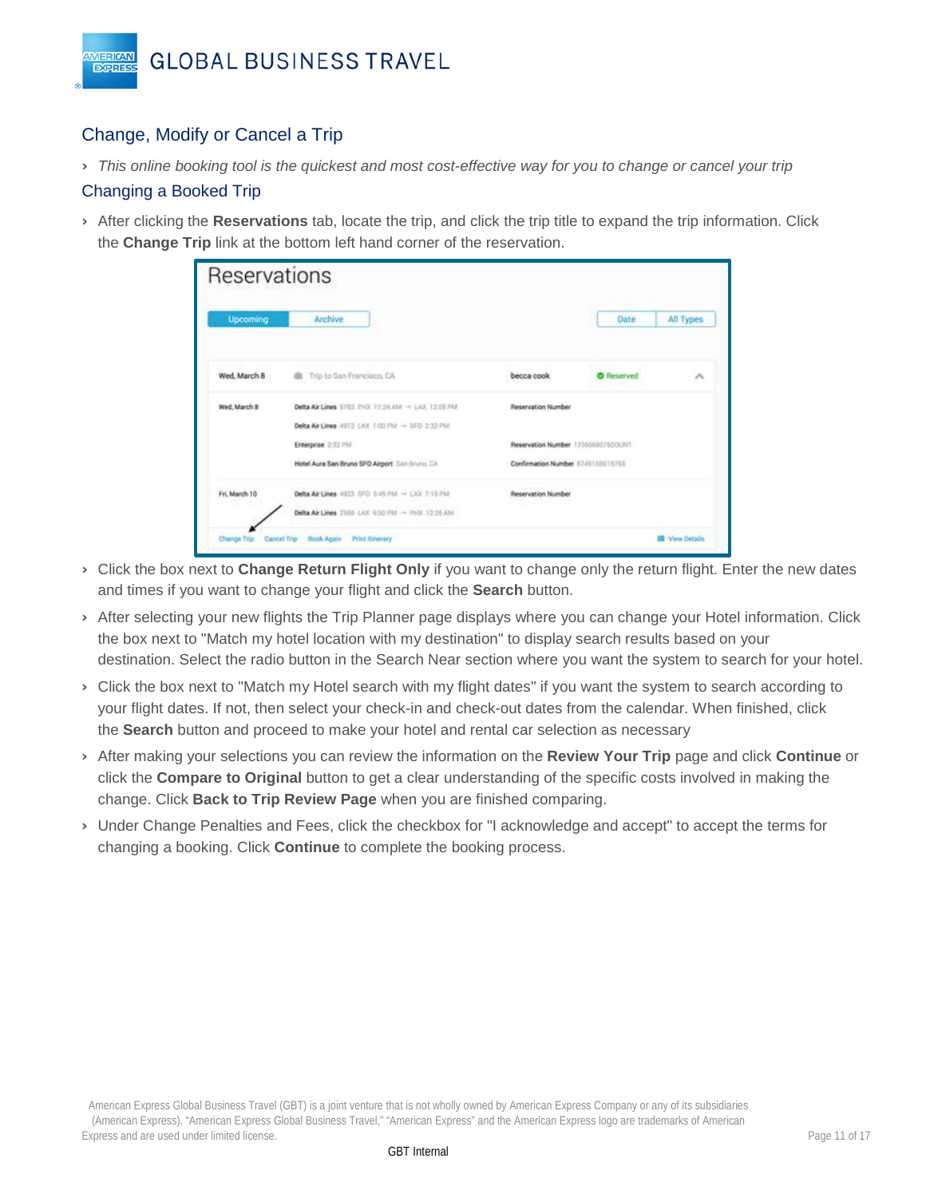

## <span id="page-10-0"></span>Change, Modify or Cancel a Trip

› *This online booking tool is the quickest and most cost-effective way for you to change or cancel your trip*

#### <span id="page-10-1"></span>Changing a Booked Trip

› After clicking the **Reservations** tab, locate the trip, and click the trip title to expand the trip information. Click the **Change Trip** link at the bottom left hand corner of the reservation.

| Reservations    |                                                    |                                    |                   |                       |
|-----------------|----------------------------------------------------|------------------------------------|-------------------|-----------------------|
| <b>Upcoming</b> | Archive                                            |                                    | Date              | All Types             |
| Wed. March 8    | <b>III</b> Trip to San Francisco, CA               | becca cook                         | <b>O</b> Reserved | $\mathcal{A}_n$       |
| Wed, March II   | Delta Air Lines 5783 PHOC 11:24 AM - 1.AX 12:00 PM | Reservation Number                 |                   |                       |
|                 | Delta Air Lines #912 LAX 1:00 PM + SFD 2:33 PM     |                                    |                   |                       |
|                 | Enterprise 2:32 PM                                 | Reservation Number 123505607500UNT |                   |                       |
|                 | Hotel Aura San Bruno SFO Airport San Bruno, CA     | Confirmation Number 6749109016705  |                   |                       |
| Fri, March 10   | Delta Air Lines 4923 SFO SI45 PM - LAIR 7-15 PM    | Reservation Number                 |                   |                       |
|                 | Delta Air Lines 2558 LAX 9:50 PM - PHX 12:26 AM    |                                    |                   |                       |
| Change Trip     | Cancel Trip<br>Book Again Print Itinerary          |                                    |                   | <b>IE View Ditals</b> |

- › Click the box next to **Change Return Flight Only** if you want to change only the return flight. Enter the new dates and times if you want to change your flight and click the **Search** button.
- › After selecting your new flights the Trip Planner page displays where you can change your Hotel information. Click the box next to "Match my hotel location with my destination" to display search results based on your destination. Select the radio button in the Search Near section where you want the system to search for your hotel.
- › Click the box next to "Match my Hotel search with my flight dates" if you want the system to search according to your flight dates. If not, then select your check-in and check-out dates from the calendar. When finished, click the **Search** button and proceed to make your hotel and rental car selection as necessary
- › After making your selections you can review the information on the **Review Your Trip** page and click **Continue** or click the **Compare to Original** button to get a clear understanding of the specific costs involved in making the change. Click **Back to Trip Review Page** when you are finished comparing.
- › Under Change Penalties and Fees, click the checkbox for "I acknowledge and accept" to accept the terms for changing a booking. Click **Continue** to complete the booking process.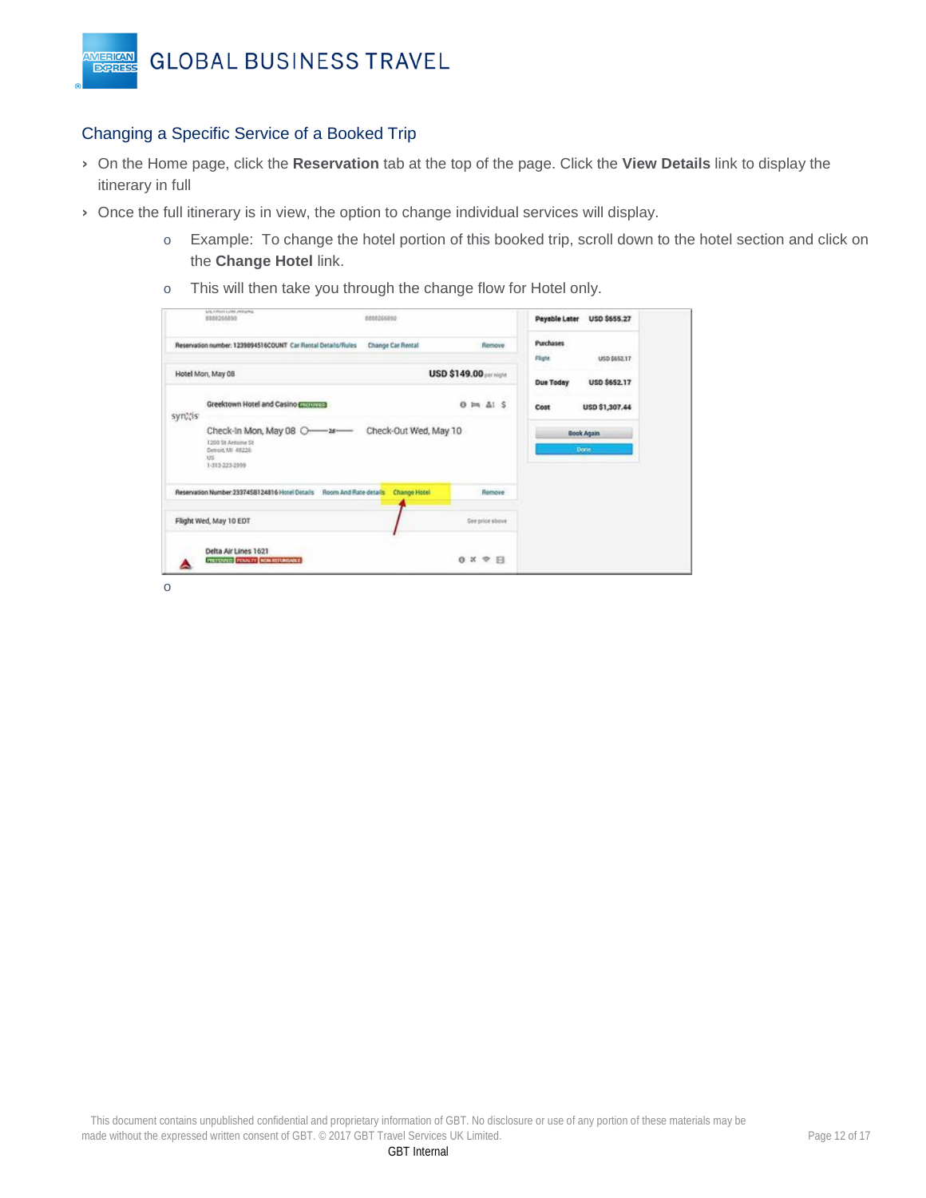

## <span id="page-11-0"></span>Changing a Specific Service of a Booked Trip

- › On the Home page, click the **Reservation** tab at the top of the page. Click the **View Details** link to display the itinerary in full
- › Once the full itinerary is in view, the option to change individual services will display.
	- o Example: To change the hotel portion of this booked trip, scroll down to the hotel section and click on the **Change Hotel** link.
	- o This will then take you through the change flow for Hotel only.

|         | 8888266890<br><b>PERMITE</b>                                                                 | 8888266890            |                               | Payable Later        | USD \$655.27               |
|---------|----------------------------------------------------------------------------------------------|-----------------------|-------------------------------|----------------------|----------------------------|
|         | Reservation number: 1239894516COUNT Car Rental Details/Rules                                 | Change Car Rental     | Remove                        | Purchases<br>Flight. | USD \$652.17               |
|         | Hotel Mon, May 08                                                                            |                       | USD \$149.00 per might        | <b>Due Today</b>     | USD \$652.17               |
| synthis | Greektown Hotel and Casino Compress                                                          |                       | $0 \equiv \Delta 15$          | Cost                 | USD \$1,307.44             |
|         | Check-In Mon, May 08 O-a-<br>1200 St Antoine St<br>Detroit, MK 48226<br>US<br>1-313-223-2999 | Check-Out Wed, May 10 |                               |                      | <b>Book Again</b><br>Done. |
|         | Reservation Number: 2337458124816 Hotel Details<br>Room And Rate details                     | <b>Change Hotel</b>   | Remove                        |                      |                            |
|         | Flight Wed, May 10 EDT                                                                       |                       | See price above               |                      |                            |
|         | Delta Air Lines 1621<br>PREFENCE FOULTY NON-REFUNDABLE                                       |                       | $0 \times \mathcal{P}$ $\Box$ |                      |                            |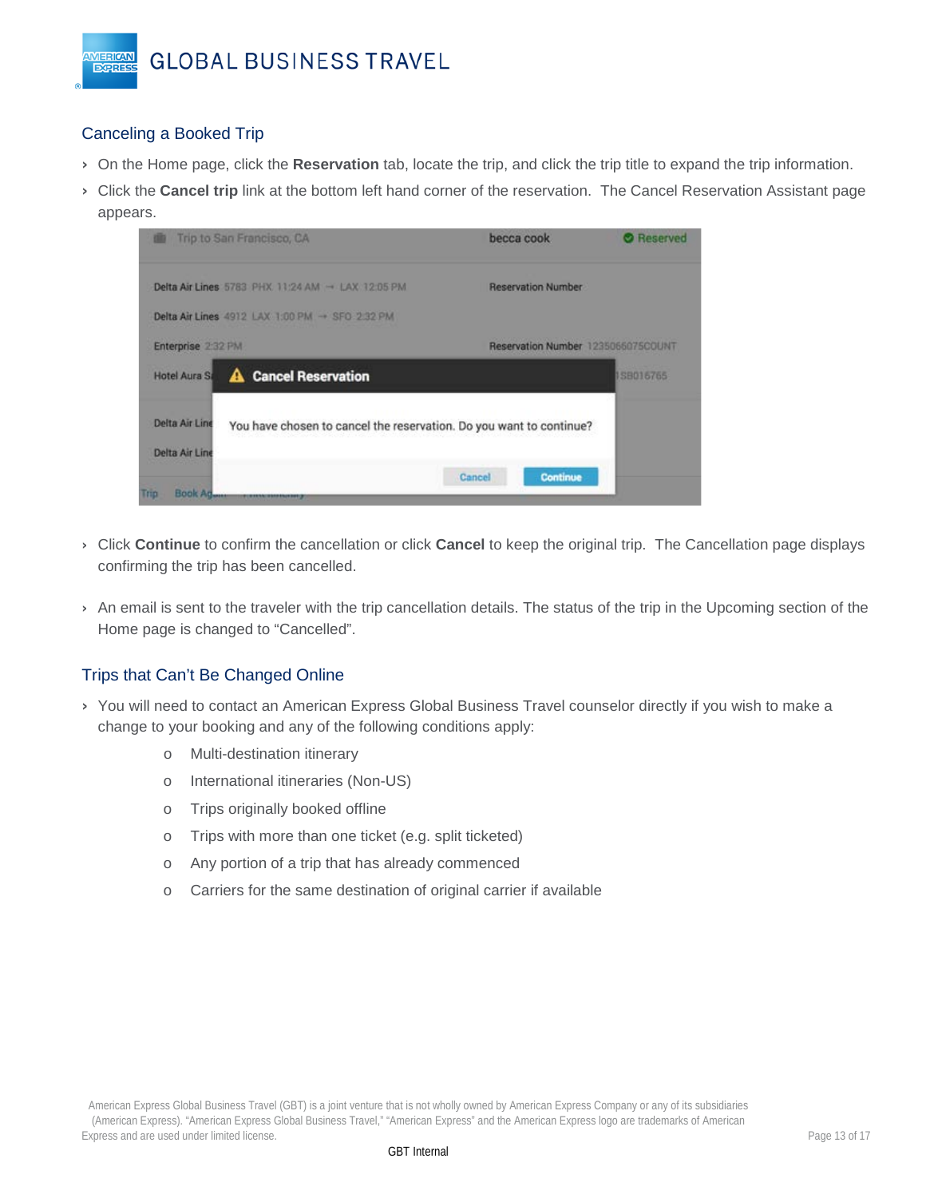## <span id="page-12-0"></span>Canceling a Booked Trip

VIERICAN **EXPRES** 

- › On the Home page, click the **Reservation** tab, locate the trip, and click the trip title to expand the trip information.
- › Click the **Cancel trip** link at the bottom left hand corner of the reservation. The Cancel Reservation Assistant page appears.

| Trip to San Francisco, CA                                    |                                                                     | becca cook |                                    | <b>O</b> Reserved |
|--------------------------------------------------------------|---------------------------------------------------------------------|------------|------------------------------------|-------------------|
| Delta Air Lines 5783 PHX 11:24 AM $\rightarrow$ LAX 12:05 PM |                                                                     |            | <b>Reservation Number</b>          |                   |
| Delta Air Lines 4912 LAX 1:00 PM - SFO 2:32 PM               |                                                                     |            |                                    |                   |
| Enterprise 2:32 PM                                           |                                                                     |            | Reservation Number 1235066075COUNT |                   |
| <b>Hotel Aura Sa</b>                                         | <b>A</b> Cancel Reservation                                         |            |                                    | 138016765         |
| Delta Air Line<br>Delta Air Line                             | You have chosen to cancel the reservation. Do you want to continue? |            |                                    |                   |
| Book Ag<br>Trip<br><b>TORONTAKO HARASHIRI</b>                |                                                                     | Cancel     | Continue                           |                   |

- › Click **Continue** to confirm the cancellation or click **Cancel** to keep the original trip. The Cancellation page displays confirming the trip has been cancelled.
- › An email is sent to the traveler with the trip cancellation details. The status of the trip in the Upcoming section of the Home page is changed to "Cancelled".

## <span id="page-12-1"></span>Trips that Can't Be Changed Online

- › You will need to contact an American Express Global Business Travel counselor directly if you wish to make a change to your booking and any of the following conditions apply:
	- o Multi-destination itinerary
	- o International itineraries (Non-US)
	- o Trips originally booked offline
	- o Trips with more than one ticket (e.g. split ticketed)
	- o Any portion of a trip that has already commenced
	- o Carriers for the same destination of original carrier if available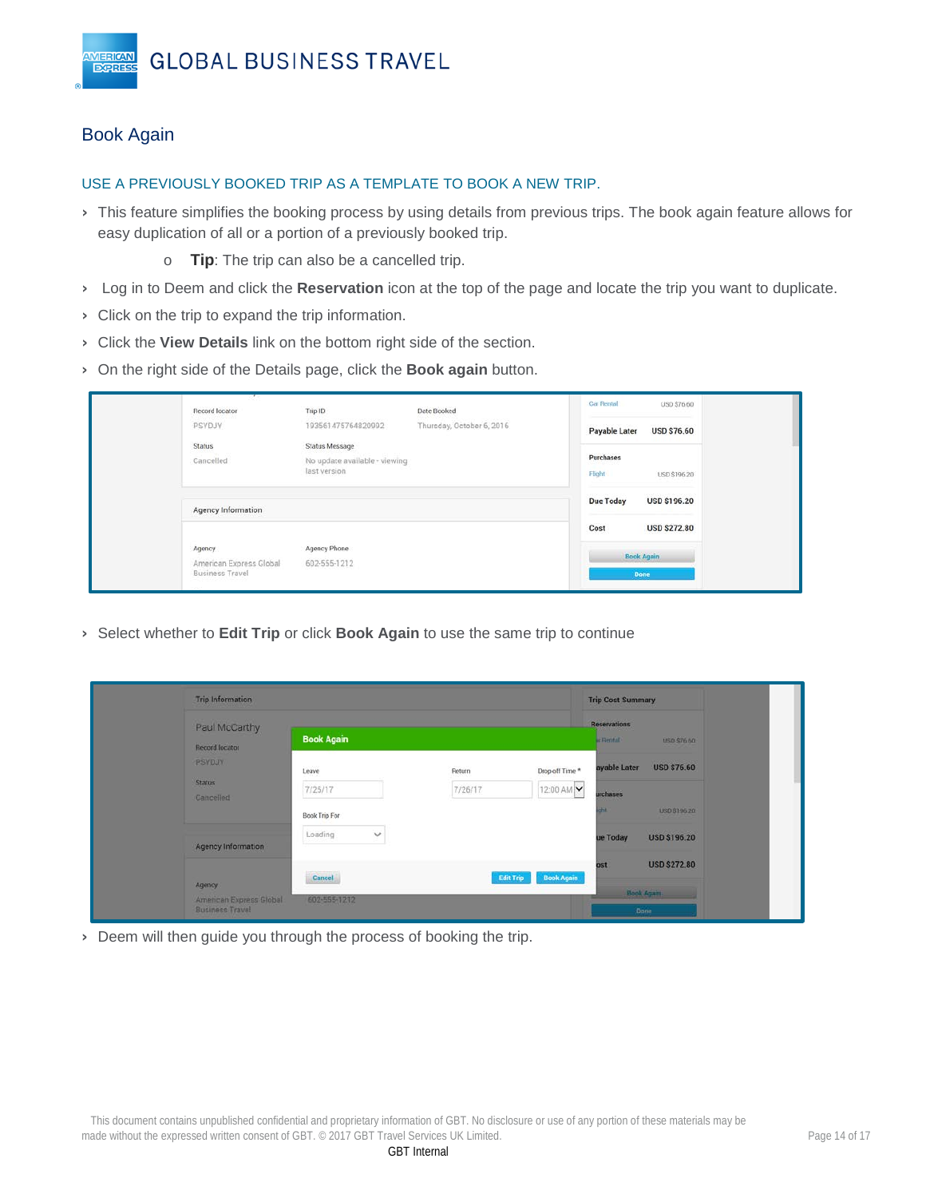## <span id="page-13-0"></span>Book Again

VIERICAN **EXPRES** 

#### USE A PREVIOUSLY BOOKED TRIP AS A TEMPLATE TO BOOK A NEW TRIP.

- › This feature simplifies the booking process by using details from previous trips. The book again feature allows for easy duplication of all or a portion of a previously booked trip.
	- o **Tip**: The trip can also be a cancelled trip.
- › Log in to Deem and click the **Reservation** icon at the top of the page and locate the trip you want to duplicate.
- › Click on the trip to expand the trip information.
- › Click the **View Details** link on the bottom right side of the section.
- › On the right side of the Details page, click the **Book again** button.

| Record locator          | Trip ID                       | Date Booked               | Car Rental       | USD \$76.60         |
|-------------------------|-------------------------------|---------------------------|------------------|---------------------|
| PSYDJY                  | 193561475764820992            | Thursday, October 6, 2016 | Payable Later    | <b>USD \$76.60</b>  |
| Status                  | <b>Status Message</b>         |                           |                  |                     |
| Cancelled               | No update available - viewing |                           | Purchases        |                     |
|                         | last version                  |                           | Flight           | USD \$196.20        |
| Agency Information      |                               |                           | <b>Due Today</b> | <b>USD \$196.20</b> |
|                         |                               |                           | Cost             | <b>USD \$272.80</b> |
| Agency                  | Agency Phone                  |                           |                  | <b>Book Again</b>   |
| American Express Global | 602-555-1212                  |                           |                  |                     |

› Select whether to **Edit Trip** or click **Book Again** to use the same trip to continue

| <b>Trip Information</b>                           |                         |                  |                   | <b>Trip Cost Summary</b>         |                     |
|---------------------------------------------------|-------------------------|------------------|-------------------|----------------------------------|---------------------|
| Paul McCarthy<br><b>Record locator</b>            | <b>Book Again</b>       |                  |                   | <b>Reservations</b><br>ar Bental | USD \$76.60         |
| PSYDJY                                            | Leave                   | Return           | Drop-off Time *   | ayable Later                     | <b>USD \$76.60</b>  |
| <b>Status</b><br>Cancelled                        | 7/25/17                 | 7/26/17          | 12:00 AM          | urchases                         |                     |
|                                                   | Book Trip For           |                  |                   | ш                                | USD \$196.20        |
| <b>Agency Information</b>                         | Loading<br>$\checkmark$ |                  |                   | ue Today                         | <b>USD \$196.20</b> |
|                                                   |                         |                  |                   | ost                              | <b>USD \$272.80</b> |
| Agency                                            | Cancel                  | <b>Edit Trip</b> | <b>Book Again</b> |                                  | <b>Book Again</b>   |
| American Express Global<br><b>Business Travel</b> | 602-555-1212            |                  |                   |                                  | <b>Done</b>         |

› Deem will then guide you through the process of booking the trip.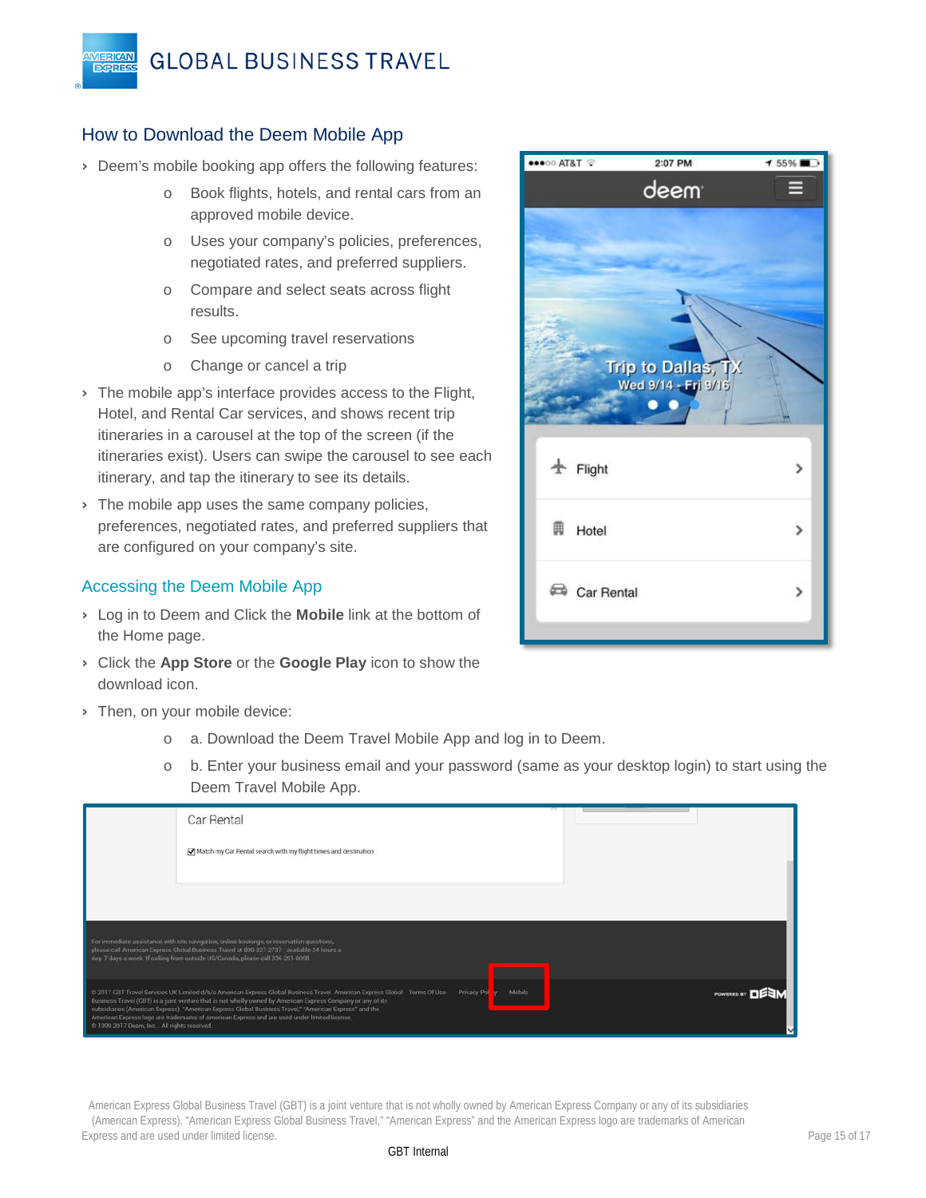## <span id="page-14-0"></span>How to Download the Deem Mobile App

VIERICAN

**EXPRES** 

- › Deem's mobile booking app offers the following features:
	- o Book flights, hotels, and rental cars from an approved mobile device.
	- o Uses your company's policies, preferences, negotiated rates, and preferred suppliers.
	- o Compare and select seats across flight results.
	- o See upcoming travel reservations
	- o Change or cancel a trip
- › The mobile app's interface provides access to the Flight, Hotel, and Rental Car services, and shows recent trip itineraries in a carousel at the top of the screen (if the itineraries exist). Users can swipe the carousel to see each itinerary, and tap the itinerary to see its details.
- > The mobile app uses the same company policies, preferences, negotiated rates, and preferred suppliers that are configured on your company's site.

## Accessing the Deem Mobile App

- › Log in to Deem and Click the **Mobile** link at the bottom of the Home page.
- › Click the **App Store** or the **Google Play** icon to show the download icon.
- › Then, on your mobile device:
	- o a. Download the Deem Travel Mobile App and log in to Deem.
	- o b. Enter your business email and your password (same as your desktop login) to start using the Deem Travel Mobile App.

|                                               | Car Rental                                                                                                                                                                                                                                                                                                                                                                                                                                                     |        |  |
|-----------------------------------------------|----------------------------------------------------------------------------------------------------------------------------------------------------------------------------------------------------------------------------------------------------------------------------------------------------------------------------------------------------------------------------------------------------------------------------------------------------------------|--------|--|
|                                               | Match my Car Rental search with my flight times and destination                                                                                                                                                                                                                                                                                                                                                                                                |        |  |
|                                               |                                                                                                                                                                                                                                                                                                                                                                                                                                                                |        |  |
|                                               |                                                                                                                                                                                                                                                                                                                                                                                                                                                                |        |  |
|                                               | For immediate assistance with site navigation, online bookings, or reservation questions.<br>please call American Express Global Business Travel at 800-327-2737 - available 24 hours a<br>day, 7 days a week. If calling from outside US/Canada, please call 336-291-0098.                                                                                                                                                                                    |        |  |
| @ 1999-2017 Deem, Inc. - All rights reserved. | @ 2017 GBT Travel Services UK Limited d/b/a American Express Global Business Travel. American Express Global Terms Of Use Privacy Pol<br>Business Travel (GBT) is a joint venture that is not wholly owned by American Express Company or any of its<br>subsidiaries (American Express). "American Express Global Business Travel," "American Express" and the<br>American Express logo are trademarks of American Express and are used under limited license. | Mobile |  |

American Express Global Business Travel (GBT) is a joint venture that is not wholly owned by American Express Company or any of its subsidiaries (American Express). "American Express Global Business Travel," "American Express" and the American Express logo are trademarks of American Express and are used under limited license. Page 15 of 17

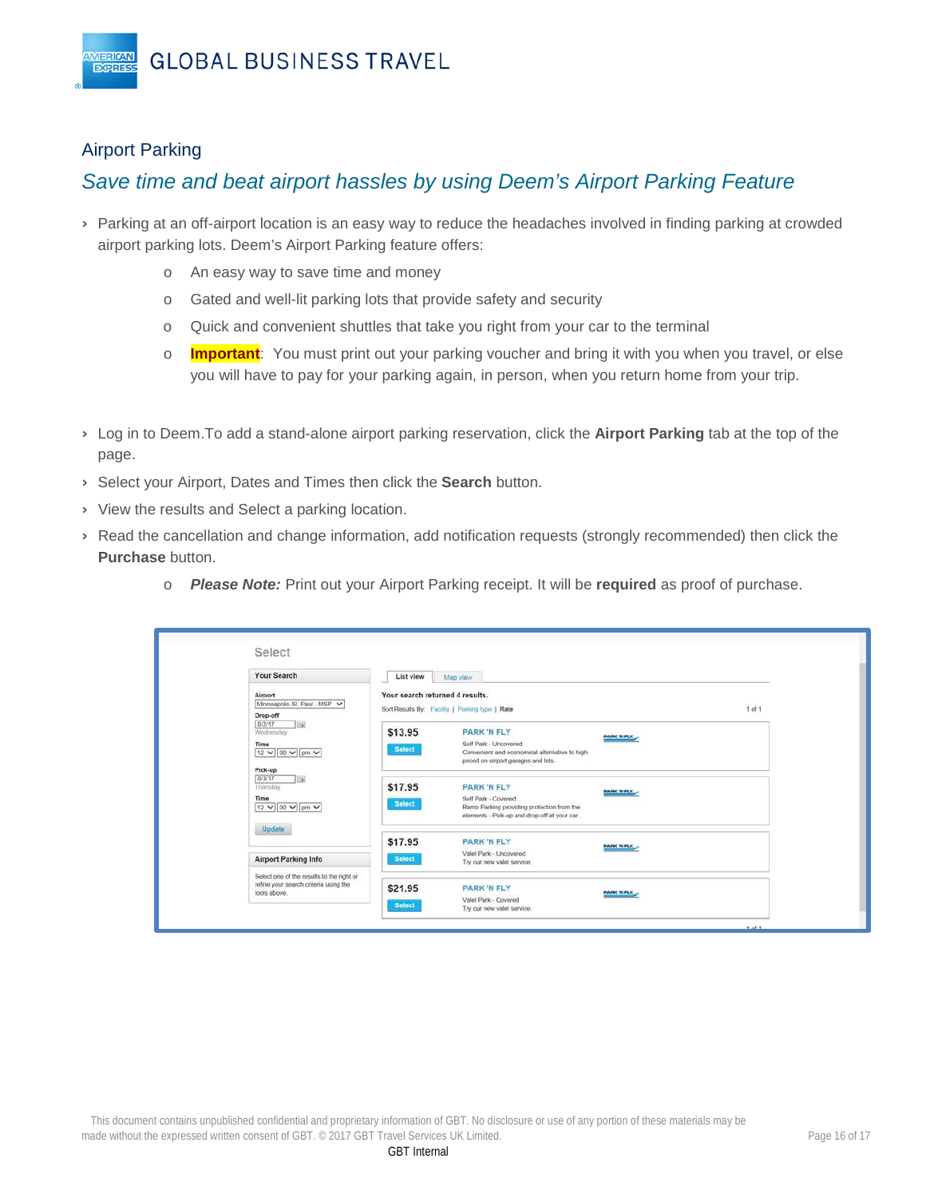## <span id="page-15-0"></span>Airport Parking

**MERICAN EXPRES** 

# *Save time and beat airport hassles by using Deem's Airport Parking Feature*

- › Parking at an off-airport location is an easy way to reduce the headaches involved in finding parking at crowded airport parking lots. Deem's Airport Parking feature offers:
	- o An easy way to save time and money
	- o Gated and well-lit parking lots that provide safety and security
	- o Quick and convenient shuttles that take you right from your car to the terminal
	- o **Important**: You must print out your parking voucher and bring it with you when you travel, or else you will have to pay for your parking again, in person, when you return home from your trip.
- › Log in to Deem.To add a stand-alone airport parking reservation, click the **Airport Parking** tab at the top of the page.
- › Select your Airport, Dates and Times then click the **Search** button.
- › View the results and Select a parking location.
- › Read the cancellation and change information, add notification requests (strongly recommended) then click the **Purchase** button.
	- o *Please Note:* Print out your Airport Parking receipt. It will be **required** as proof of purchase.

| Your Search                                                                                        | List view                       | Map view                                                                                                                                |                   |            |
|----------------------------------------------------------------------------------------------------|---------------------------------|-----------------------------------------------------------------------------------------------------------------------------------------|-------------------|------------|
| Airport<br>Minneapolis-St. Paul - MSP V<br>Drop-off                                                | Your search returned 4 results. | Sort Results By: Facility   Parking type   Rate                                                                                         |                   | $1$ of $1$ |
| 8/2/17<br><b>Inch</b><br>Wednesday<br>Time<br>12 v 00 v pm v<br>Pick-up                            | \$13.95<br><b>Select</b>        | <b>PARK 'N FLY</b><br>Self Park - Uncovered<br>Convenient and economical alternative to high<br>priced on-airport garages and lots.     | <b>PARK NEW</b>   |            |
| 8/3/17<br>$\rightarrow$<br>Thursday<br>Time<br>12 V 00 V pm V                                      | \$17.95<br><b>Select</b>        | <b>PARK 'N FLY</b><br>Self Park - Covered<br>Ramp Parking providing protection from the<br>elements - Pick-up and drop-off at your car. | <b>PARK NFLY.</b> |            |
| Update<br><b>Airport Parking Info</b>                                                              | \$17.95<br><b>Select</b>        | <b>PARK 'N FLY</b><br>Valet Park - Uncovered<br>Try our new valet service.                                                              | <b>PARK NFLY</b>  |            |
| Select one of the results to the right or<br>refine your search criteria using the<br>tools above. | \$21.95<br><b>Select</b>        | <b>PARK 'N FLY</b><br>Valet Park - Covered                                                                                              | <b>PARK NFLY.</b> |            |